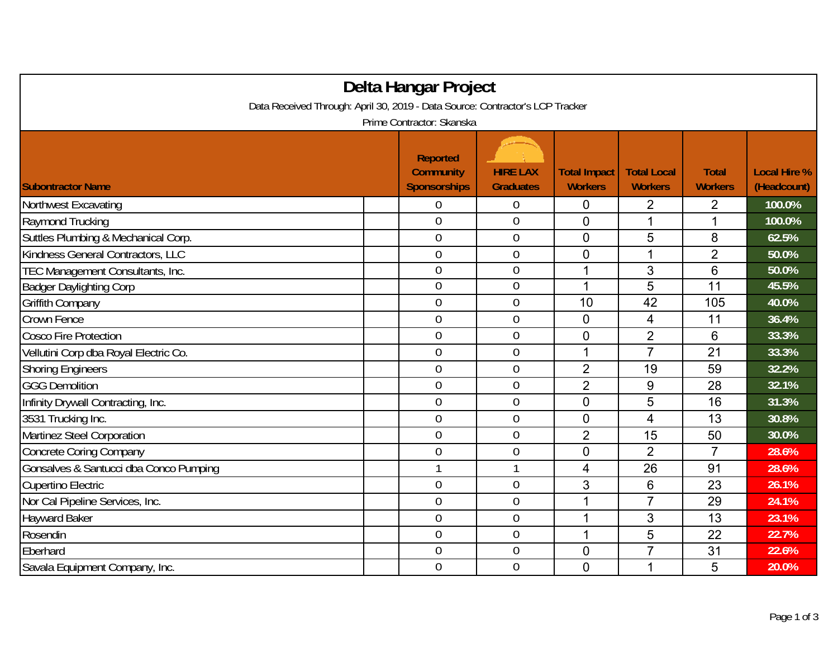| Delta Hangar Project                                                                                       |                |                  |                |                |                |        |  |  |                          |
|------------------------------------------------------------------------------------------------------------|----------------|------------------|----------------|----------------|----------------|--------|--|--|--------------------------|
| Data Received Through: April 30, 2019 - Data Source: Contractor's LCP Tracker<br>Prime Contractor: Skanska |                |                  |                |                |                |        |  |  |                          |
|                                                                                                            |                |                  |                |                |                |        |  |  | <b>Subontractor Name</b> |
| Northwest Excavating                                                                                       | 0              | $\boldsymbol{0}$ | 0              | 2              | $\overline{2}$ | 100.0% |  |  |                          |
| Raymond Trucking                                                                                           | $\overline{0}$ | $\mathbf{0}$     | $\overline{0}$ | 1              | 1              | 100.0% |  |  |                          |
| Suttles Plumbing & Mechanical Corp.                                                                        | $\overline{0}$ | $\boldsymbol{0}$ | $\overline{0}$ | 5              | 8              | 62.5%  |  |  |                          |
| Kindness General Contractors, LLC                                                                          | $\overline{0}$ | $\mathbf 0$      | $\overline{0}$ | 1              | $\overline{2}$ | 50.0%  |  |  |                          |
| TEC Management Consultants, Inc.                                                                           | $\overline{0}$ | $\mathbf 0$      | 1              | 3              | 6              | 50.0%  |  |  |                          |
| <b>Badger Daylighting Corp</b>                                                                             | $\overline{0}$ | $\mathbf 0$      | 1              | $\overline{5}$ | 11             | 45.5%  |  |  |                          |
| Griffith Company                                                                                           | $\overline{0}$ | $\mathbf 0$      | 10             | 42             | 105            | 40.0%  |  |  |                          |
| Crown Fence                                                                                                | $\overline{0}$ | $\mathbf 0$      | 0              | 4              | 11             | 36.4%  |  |  |                          |
| <b>Cosco Fire Protection</b>                                                                               | $\overline{0}$ | $\mathbf 0$      | 0              | $\overline{2}$ | 6              | 33.3%  |  |  |                          |
| Vellutini Corp dba Royal Electric Co.                                                                      | $\mathbf 0$    | $\mathbf{0}$     | 1              | $\overline{7}$ | 21             | 33.3%  |  |  |                          |
| <b>Shoring Engineers</b>                                                                                   | $\overline{0}$ | $\boldsymbol{0}$ | $\overline{2}$ | 19             | 59             | 32.2%  |  |  |                          |
| <b>GGG Demolition</b>                                                                                      | $\overline{0}$ | $\mathbf 0$      | $\overline{2}$ | $9\,$          | 28             | 32.1%  |  |  |                          |
| Infinity Drywall Contracting, Inc.                                                                         | $\overline{0}$ | $\overline{0}$   | $\overline{0}$ | 5              | 16             | 31.3%  |  |  |                          |
| 3531 Trucking Inc.                                                                                         | $\overline{0}$ | $\mathbf{0}$     | $\overline{0}$ | 4              | 13             | 30.8%  |  |  |                          |
| <b>Martinez Steel Corporation</b>                                                                          | $\overline{0}$ | $\overline{0}$   | $\overline{2}$ | 15             | 50             | 30.0%  |  |  |                          |
| <b>Concrete Coring Company</b>                                                                             | $\overline{0}$ | $\boldsymbol{0}$ | $\overline{0}$ | $\overline{2}$ | 7              | 28.6%  |  |  |                          |
| Gonsalves & Santucci dba Conco Pumping                                                                     | $\mathbf{1}$   | $\mathbf{1}$     | 4              | 26             | 91             | 28.6%  |  |  |                          |
| Cupertino Electric                                                                                         | $\overline{0}$ | $\mathbf 0$      | 3              | 6              | 23             | 26.1%  |  |  |                          |
| Nor Cal Pipeline Services, Inc.                                                                            | $\overline{0}$ | $\mathbf{0}$     | 1              | $\overline{7}$ | 29             | 24.1%  |  |  |                          |
| <b>Hayward Baker</b>                                                                                       | $\overline{0}$ | $\mathbf 0$      | 1              | 3              | 13             | 23.1%  |  |  |                          |
| Rosendin                                                                                                   | $\mathbf 0$    | $\mathbf 0$      | 1              | 5              | 22             | 22.7%  |  |  |                          |
| Eberhard                                                                                                   | $\overline{0}$ | $\mathbf 0$      | 0              | $\overline{7}$ | 31             | 22.6%  |  |  |                          |
| Savala Equipment Company, Inc.                                                                             | $\overline{0}$ | $\mathbf{0}$     | $\overline{0}$ | 1              | 5              | 20.0%  |  |  |                          |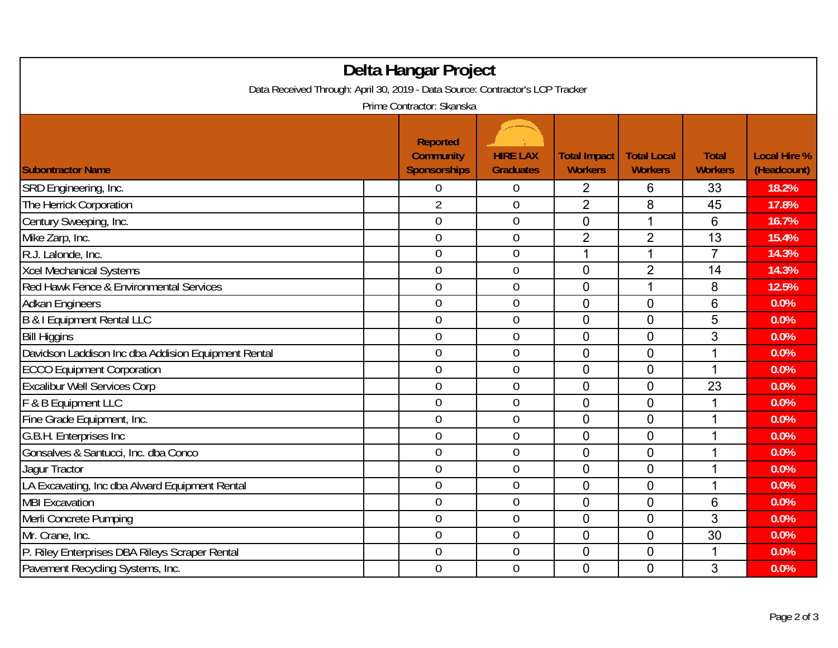| Delta Hangar Project<br>Data Received Through: April 30, 2019 - Data Source: Contractor's LCP Tracker |                                                                                         |                                     |                                       |                                      |                                |                                    |  |  |
|-------------------------------------------------------------------------------------------------------|-----------------------------------------------------------------------------------------|-------------------------------------|---------------------------------------|--------------------------------------|--------------------------------|------------------------------------|--|--|
| <b>Subontractor Name</b>                                                                              | Prime Contractor: Skanska<br><b>Reported</b><br><b>Community</b><br><b>Sponsorships</b> | <b>HIRE LAX</b><br><b>Graduates</b> | <b>Total Impact</b><br><b>Workers</b> | <b>Total Local</b><br><b>Workers</b> | <b>Total</b><br><b>Workers</b> | <b>Local Hire %</b><br>(Headcount) |  |  |
| SRD Engineering, Inc.                                                                                 | 0                                                                                       | 0                                   | 2                                     | 6                                    | 33                             | 18.2%                              |  |  |
| The Herrick Corporation                                                                               | $\overline{2}$                                                                          | $\boldsymbol{0}$                    | $\overline{2}$                        | 8                                    | 45                             | 17.8%                              |  |  |
| Century Sweeping, Inc.                                                                                | $\overline{0}$                                                                          | $\overline{0}$                      | 0                                     | 1                                    | $6\phantom{1}6$                | 16.7%                              |  |  |
| Mike Zarp, Inc.                                                                                       | 0                                                                                       | $\pmb{0}$                           | $\overline{2}$                        | $\overline{2}$                       | 13                             | 15.4%                              |  |  |
| R.J. Lalonde, Inc.                                                                                    | $\overline{0}$                                                                          | $\overline{0}$                      | 1                                     | 1                                    | $\overline{7}$                 | 14.3%                              |  |  |
| <b>Xcel Mechanical Systems</b>                                                                        | $\overline{0}$                                                                          | $\mathbf 0$                         | $\overline{0}$                        | $\overline{2}$                       | 14                             | 14.3%                              |  |  |
| Red Hawk Fence & Environmental Services                                                               | 0                                                                                       | $\boldsymbol{0}$                    | $\overline{0}$                        | 1                                    | 8                              | 12.5%                              |  |  |
| <b>Adkan Engineers</b>                                                                                | $\overline{0}$                                                                          | $\boldsymbol{0}$                    | $\overline{0}$                        | $\overline{0}$                       | $6\phantom{1}6$                | 0.0%                               |  |  |
| B & I Equipment Rental LLC                                                                            | $\mathbf 0$                                                                             | $\boldsymbol{0}$                    | $\overline{0}$                        | $\mathbf 0$                          | 5                              | 0.0%                               |  |  |
| <b>Bill Higgins</b>                                                                                   | $\mathbf 0$                                                                             | $\boldsymbol{0}$                    | $\overline{0}$                        | $\mathbf 0$                          | 3                              | 0.0%                               |  |  |
| Davidson Laddison Inc dba Addision Equipment Rental                                                   | $\overline{0}$                                                                          | $\boldsymbol{0}$                    | $\overline{0}$                        | $\overline{0}$                       | 1                              | 0.0%                               |  |  |
| <b>ECCO Equipment Corporation</b>                                                                     | $\overline{0}$                                                                          | $\boldsymbol{0}$                    | $\overline{0}$                        | $\mathbf 0$                          | $\mathbf 1$                    | 0.0%                               |  |  |
| <b>Excalibur Well Services Corp</b>                                                                   | $\overline{0}$                                                                          | $\boldsymbol{0}$                    | $\overline{0}$                        | $\mathbf 0$                          | 23                             | 0.0%                               |  |  |
| F & B Equipment LLC                                                                                   | $\overline{0}$                                                                          | $\mathbf 0$                         | $\overline{0}$                        | $\mathbf 0$                          | 1                              | 0.0%                               |  |  |
| Fine Grade Equipment, Inc.                                                                            | $\overline{0}$                                                                          | $\boldsymbol{0}$                    | $\overline{0}$                        | $\overline{0}$                       | 1                              | 0.0%                               |  |  |
| G.B.H. Enterprises Inc                                                                                | $\overline{0}$                                                                          | $\boldsymbol{0}$                    | $\mathbf 0$                           | $\mathbf 0$                          | 1                              | 0.0%                               |  |  |
| Gonsalves & Santucci, Inc. dba Conco                                                                  | $\overline{0}$                                                                          | $\overline{0}$                      | $\overline{0}$                        | $\overline{0}$                       | 1                              | 0.0%                               |  |  |
| Jaqur Tractor                                                                                         | $\overline{0}$                                                                          | $\overline{0}$                      | $\overline{0}$                        | $\mathbf 0$                          | 1                              | 0.0%                               |  |  |
| LA Excavating, Inc dba Alward Equipment Rental                                                        | $\overline{0}$                                                                          | $\overline{0}$                      | $\mathbf 0$                           | $\mathbf 0$                          | $\mathbf{1}$                   | 0.0%                               |  |  |
| <b>MBI Excavation</b>                                                                                 | $\overline{0}$                                                                          | $\boldsymbol{0}$                    | $\overline{0}$                        | $\mathbf 0$                          | $6\phantom{1}6$                | 0.0%                               |  |  |
| Merli Concrete Pumping                                                                                | $\overline{0}$                                                                          | $\boldsymbol{0}$                    | $\mathbf 0$                           | $\mathbf 0$                          | 3                              | 0.0%                               |  |  |
| Mr. Crane, Inc.                                                                                       | $\overline{0}$                                                                          | $\overline{0}$                      | $\overline{0}$                        | $\overline{0}$                       | 30                             | 0.0%                               |  |  |
| P. Riley Enterprises DBA Rileys Scraper Rental                                                        | $\mathbf 0$                                                                             | $\boldsymbol{0}$                    | $\mathbf 0$                           | $\mathbf 0$                          | 1                              | 0.0%                               |  |  |
| Pavement Recycling Systems, Inc.                                                                      | 0                                                                                       | $\overline{0}$                      | $\overline{0}$                        | $\mathbf 0$                          | 3                              | 0.0%                               |  |  |